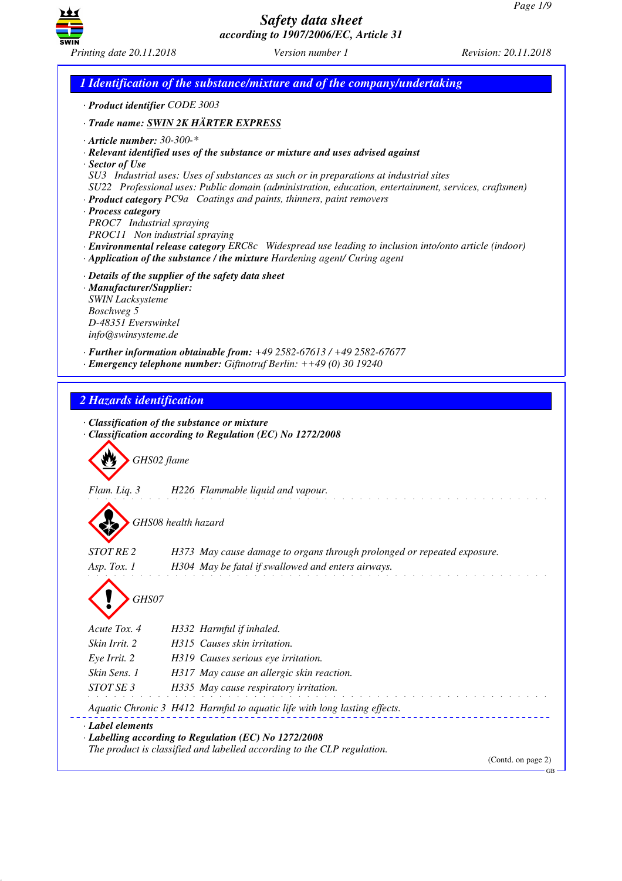GB



*Safety data sheet according to 1907/2006/EC, Article 31*

*1 Identification of the substance/mixture and of the company/undertaking · Product identifier CODE 3003 · Trade name: SWIN 2K HÄRTER EXPRESS · Article number: 30-300-\* · Relevant identified uses of the substance or mixture and uses advised against · Sector of Use SU3 Industrial uses: Uses of substances as such or in preparations at industrial sites SU22 Professional uses: Public domain (administration, education, entertainment, services, craftsmen) · Product category PC9a Coatings and paints, thinners, paint removers · Process category PROC7 Industrial spraying PROC11 Non industrial spraying · Environmental release category ERC8c Widespread use leading to inclusion into/onto article (indoor) · Application of the substance / the mixture Hardening agent/ Curing agent · Details of the supplier of the safety data sheet · Manufacturer/Supplier: SWIN Lacksysteme Boschweg 5 D-48351 Everswinkel info@swinsysteme.de · Further information obtainable from: +49 2582-67613 / +49 2582-67677 · Emergency telephone number: Giftnotruf Berlin: ++49 (0) 30 19240 2 Hazards identification · Classification of the substance or mixture · Classification according to Regulation (EC) No 1272/2008* d~*GHS02 flame Flam. Liq. 3 H226 Flammable liquid and vapour.* d~*GHS08 health hazard STOT RE 2 H373 May cause damage to organs through prolonged or repeated exposure. Asp. Tox. 1 H304 May be fatal if swallowed and enters airways.* d~*GHS07 Acute Tox. 4 H332 Harmful if inhaled. Skin Irrit. 2 H315 Causes skin irritation. Eye Irrit. 2 H319 Causes serious eye irritation. Skin Sens. 1 H317 May cause an allergic skin reaction. STOT SE 3 H335 May cause respiratory irritation. Aquatic Chronic 3 H412 Harmful to aquatic life with long lasting effects. · Label elements · Labelling according to Regulation (EC) No 1272/2008 The product is classified and labelled according to the CLP regulation.* (Contd. on page 2)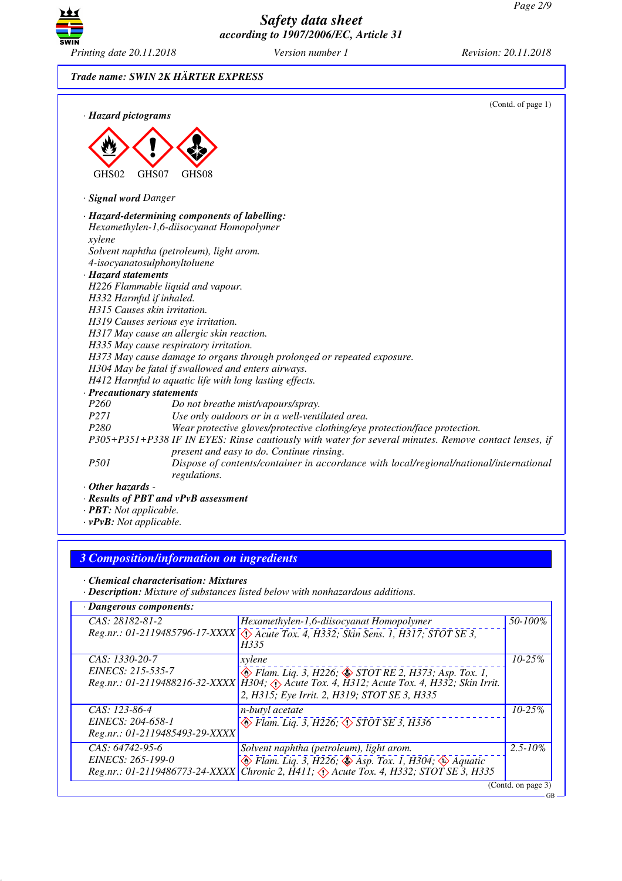GB



*Safety data sheet according to 1907/2006/EC, Article 31*

*Trade name: SWIN 2K HÄRTER EXPRESS*

|                            | (Contd. of page 1)                                                                                                                                 |
|----------------------------|----------------------------------------------------------------------------------------------------------------------------------------------------|
| · Hazard pictograms        |                                                                                                                                                    |
|                            |                                                                                                                                                    |
|                            |                                                                                                                                                    |
|                            |                                                                                                                                                    |
| GHS02                      | GHS07<br>GHS <sub>08</sub>                                                                                                                         |
| · Signal word Danger       |                                                                                                                                                    |
|                            | · Hazard-determining components of labelling:                                                                                                      |
|                            | Hexamethylen-1,6-diisocyanat Homopolymer                                                                                                           |
| xylene                     |                                                                                                                                                    |
|                            | Solvent naphtha (petroleum), light arom.                                                                                                           |
|                            | 4-isocyanatosulphonyltoluene                                                                                                                       |
| · Hazard statements        |                                                                                                                                                    |
|                            | H226 Flammable liquid and vapour.                                                                                                                  |
| H332 Harmful if inhaled.   |                                                                                                                                                    |
|                            | H315 Causes skin irritation.                                                                                                                       |
|                            | H319 Causes serious eye irritation.                                                                                                                |
|                            | H317 May cause an allergic skin reaction.                                                                                                          |
|                            | H335 May cause respiratory irritation.                                                                                                             |
|                            | H373 May cause damage to organs through prolonged or repeated exposure.                                                                            |
|                            | H304 May be fatal if swallowed and enters airways.                                                                                                 |
|                            | H412 Harmful to aquatic life with long lasting effects.                                                                                            |
| · Precautionary statements |                                                                                                                                                    |
| P260                       | Do not breathe mist/vapours/spray.                                                                                                                 |
| P271                       | Use only outdoors or in a well-ventilated area.                                                                                                    |
| P280                       | Wear protective gloves/protective clothing/eye protection/face protection.                                                                         |
|                            | P305+P351+P338 IF IN EYES: Rinse cautiously with water for several minutes. Remove contact lenses, if<br>present and easy to do. Continue rinsing. |
| P501                       | Dispose of contents/container in accordance with local/regional/national/international<br>regulations.                                             |
| $\cdot$ Other hazards -    |                                                                                                                                                    |
|                            | · Results of PBT and vPvB assessment                                                                                                               |

- *· PBT: Not applicable.*
- *· vPvB: Not applicable.*

## *3 Composition/information on ingredients*

*· Chemical characterisation: Mixtures*

*· Description: Mixture of substances listed below with nonhazardous additions.*

| · Dangerous components:        |                                                                                                |                    |
|--------------------------------|------------------------------------------------------------------------------------------------|--------------------|
| CAS: 28182-81-2                | Hexamethylen-1,6-diisocyanat Homopolymer                                                       | 50-100%            |
|                                | Reg.nr.: 01-2119485796-17-XXXX \(\) Acute Tox. 4, H332; Skin Sens. 1, H317; STOT SE 3,<br>H335 |                    |
| CAS: 1330-20-7                 | xylene                                                                                         | $10 - 25\%$        |
| EINECS: 215-535-7              | $\otimes$ Flam. Liq. 3, H226; $\otimes$ STOT RE 2, H373; Asp. Tox. 1,                          |                    |
|                                | Reg.nr.: 01-2119488216-32-XXXX   H304; Acute Tox. 4, H312; Acute Tox. 4, H332; Skin Irrit.     |                    |
|                                | 2, H315; Eye Irrit. 2, H319; STOT SE 3, H335                                                   |                    |
| CAS: 123-86-4                  | <i>n-butyl acetate</i>                                                                         | $10 - 25%$         |
| EINECS: 204-658-1              | $\circledast$ Flam. Liq. 3, H226, $\circledast$ STOT SE 3, H336                                |                    |
| Reg.nr.: 01-2119485493-29-XXXX |                                                                                                |                    |
| CAS: 64742-95-6                | Solvent naphtha (petroleum), light arom.                                                       | $2.5 - 10\%$       |
| EINECS: 265-199-0              | $\otimes$ Flam. Liq. 3, H226; $\otimes$ Asp. Tox. 1, H304; $\otimes$ Aquatic                   |                    |
|                                | Reg.nr.: 01-2119486773-24-XXXX Chronic 2, H411; $\Diamond$ Acute Tox. 4, H332; STOT SE 3, H335 |                    |
|                                |                                                                                                | (Contd. on page 3) |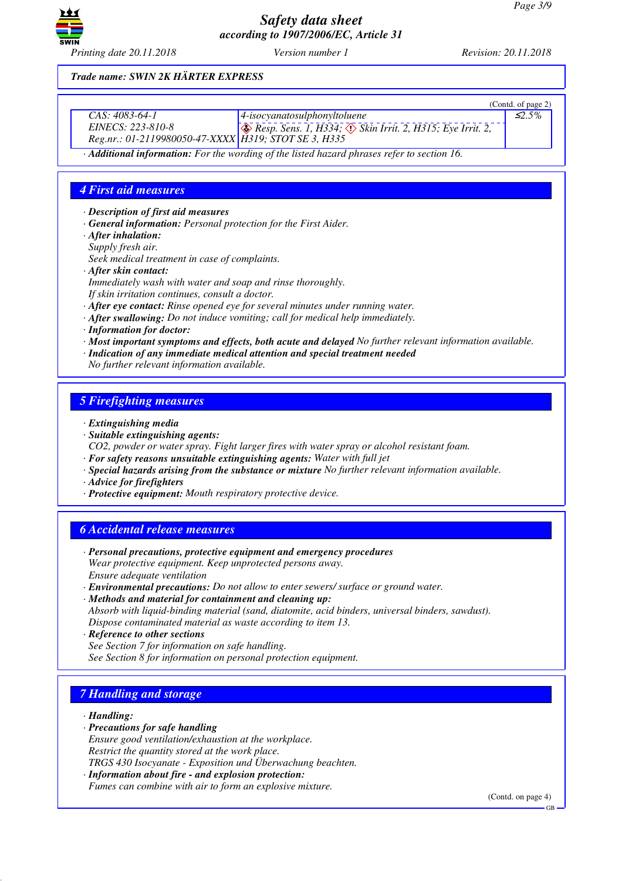

*Trade name: SWIN 2K HÄRTER EXPRESS*

|                                                      |                                                                             | (Contd. of page $2$ ) |
|------------------------------------------------------|-----------------------------------------------------------------------------|-----------------------|
| CAS: 4083-64-1                                       | $\vert$ 4-isocyanatosulphonyltoluene                                        | $\leq 2.5\%$          |
| <i>EINECS: 223-810-8</i>                             | $\otimes$ Resp. Sens. 1, H334; $\otimes$ Skin Irrit. 2, H315; Eye Irrit. 2, |                       |
| Reg.nr.: 01-2119980050-47-XXXX H319; STOT SE 3, H335 |                                                                             |                       |

*· Additional information: For the wording of the listed hazard phrases refer to section 16.*

## *4 First aid measures*

*· Description of first aid measures*

- *· General information: Personal protection for the First Aider.*
- *· After inhalation:*
- *Supply fresh air.*

*Seek medical treatment in case of complaints.*

- *· After skin contact:*
- *Immediately wash with water and soap and rinse thoroughly.*
- *If skin irritation continues, consult a doctor.*
- *· After eye contact: Rinse opened eye for several minutes under running water.*
- *· After swallowing: Do not induce vomiting; call for medical help immediately.*
- *· Information for doctor:*
- *· Most important symptoms and effects, both acute and delayed No further relevant information available.*
- *· Indication of any immediate medical attention and special treatment needed*
- *No further relevant information available.*

## *5 Firefighting measures*

- *· Extinguishing media*
- *· Suitable extinguishing agents:*

*CO2, powder or water spray. Fight larger fires with water spray or alcohol resistant foam.*

- *· For safety reasons unsuitable extinguishing agents: Water with full jet*
- *· Special hazards arising from the substance or mixture No further relevant information available.*
- *· Advice for firefighters*
- *· Protective equipment: Mouth respiratory protective device.*

## *6 Accidental release measures*

- *· Personal precautions, protective equipment and emergency procedures Wear protective equipment. Keep unprotected persons away. Ensure adequate ventilation*
- *· Environmental precautions: Do not allow to enter sewers/ surface or ground water.*
- *· Methods and material for containment and cleaning up:*
- *Absorb with liquid-binding material (sand, diatomite, acid binders, universal binders, sawdust). Dispose contaminated material as waste according to item 13.*
- *· Reference to other sections See Section 7 for information on safe handling. See Section 8 for information on personal protection equipment.*

# *7 Handling and storage*

*· Handling:*

- *· Precautions for safe handling*
- *Ensure good ventilation/exhaustion at the workplace. Restrict the quantity stored at the work place.*
- *TRGS 430 Isocyanate Exposition und Überwachung beachten.*
- *· Information about fire and explosion protection: Fumes can combine with air to form an explosive mixture.*

(Contd. on page 4)

GB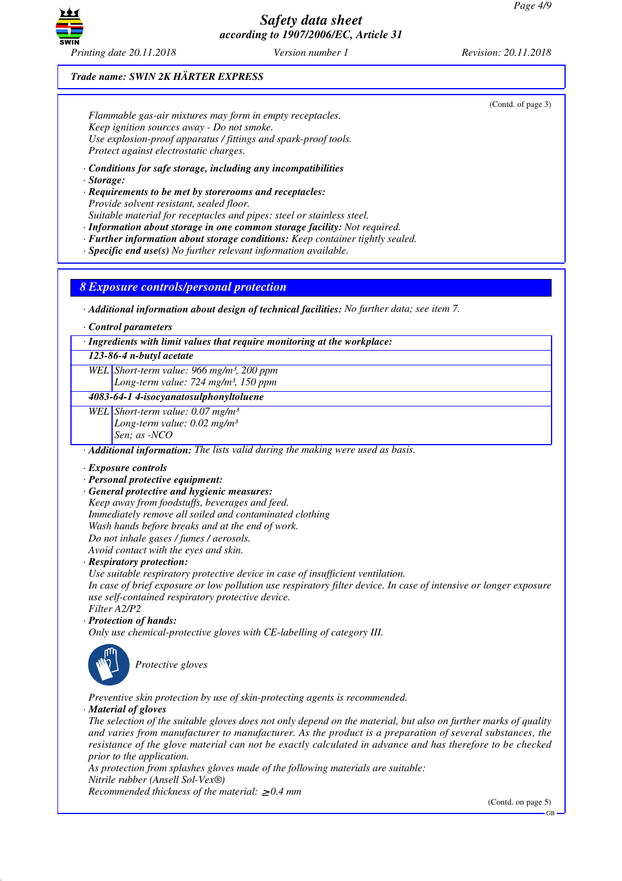

### *Trade name: SWIN 2K HÄRTER EXPRESS*

*Flammable gas-air mixtures may form in empty receptacles. Keep ignition sources away - Do not smoke. Use explosion-proof apparatus / fittings and spark-proof tools. Protect against electrostatic charges.*

*· Conditions for safe storage, including any incompatibilities*

*· Storage:*

*· Requirements to be met by storerooms and receptacles: Provide solvent resistant, sealed floor.*

*Suitable material for receptacles and pipes: steel or stainless steel.*

- *· Information about storage in one common storage facility: Not required.*
- *· Further information about storage conditions: Keep container tightly sealed.*

*· Specific end use(s) No further relevant information available.*

*8 Exposure controls/personal protection*

*· Additional information about design of technical facilities: No further data; see item 7.*

*· Control parameters*

*· Ingredients with limit values that require monitoring at the workplace:*

*123-86-4 n-butyl acetate*

*WEL Short-term value: 966 mg/m³, 200 ppm Long-term value: 724 mg/m³, 150 ppm*

### *4083-64-1 4-isocyanatosulphonyltoluene*

*WEL Short-term value: 0.07 mg/m³*

*Long-term value: 0.02 mg/m³*

*Sen; as -NCO*

*· Additional information: The lists valid during the making were used as basis.*

#### *· Exposure controls*

- *· Personal protective equipment:*
- *· General protective and hygienic measures:*

*Keep away from foodstuffs, beverages and feed. Immediately remove all soiled and contaminated clothing Wash hands before breaks and at the end of work. Do not inhale gases / fumes / aerosols. Avoid contact with the eyes and skin.*

*· Respiratory protection:*

*Use suitable respiratory protective device in case of insufficient ventilation.*

*In case of brief exposure or low pollution use respiratory filter device. In case of intensive or longer exposure use self-contained respiratory protective device. Filter A2/P2*

*· Protection of hands:*

*Only use chemical-protective gloves with CE-labelling of category III.*



\_S*Protective gloves*

*Preventive skin protection by use of skin-protecting agents is recommended.*

### *· Material of gloves*

*The selection of the suitable gloves does not only depend on the material, but also on further marks of quality and varies from manufacturer to manufacturer. As the product is a preparation of several substances, the resistance of the glove material can not be exactly calculated in advance and has therefore to be checked prior to the application.*

*As protection from splashes gloves made of the following materials are suitable: Nitrile rubber (Ansell Sol-Vex®)*

*Recommended thickness of the material:* ≥ *0.4 mm*

(Contd. on page 5)

(Contd. of page 3)

GB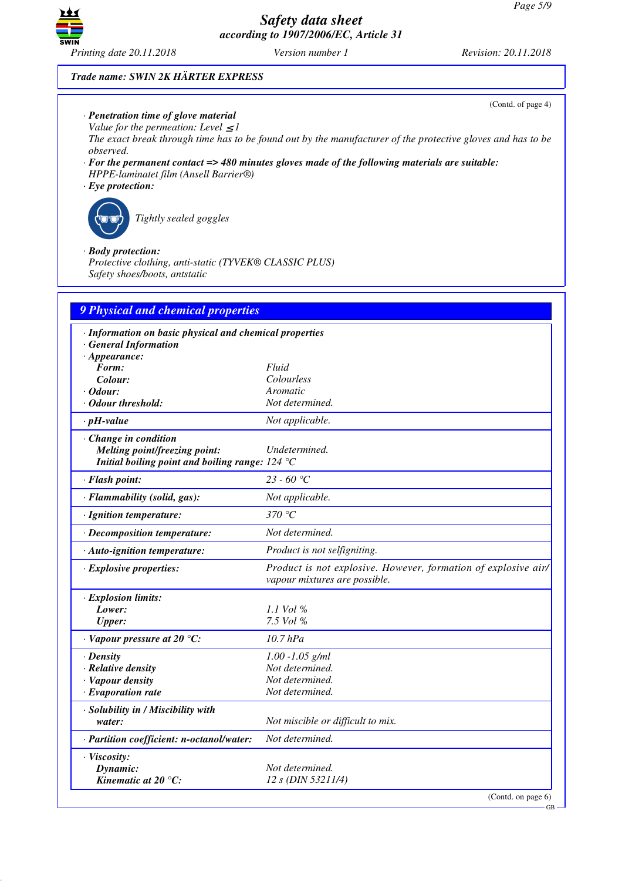

### *Trade name: SWIN 2K HÄRTER EXPRESS*

- *· Penetration time of glove material*
- *Value for the permeation: Level*  $\leq$  *I*

*The exact break through time has to be found out by the manufacturer of the protective gloves and has to be observed.*

- *· For the permanent contact => 480 minutes gloves made of the following materials are suitable: HPPE-laminatet film (Ansell Barrier®)*
- *· Eye protection:*



\_R*Tightly sealed goggles*

### *· Body protection:*

*Protective clothing, anti-static (TYVEK® CLASSIC PLUS) Safety shoes/boots, antstatic*

| 9 Physical and chemical properties                      |                                                                                                 |
|---------------------------------------------------------|-------------------------------------------------------------------------------------------------|
| · Information on basic physical and chemical properties |                                                                                                 |
| · General Information                                   |                                                                                                 |
| $\cdot$ Appearance:                                     |                                                                                                 |
| Form:                                                   | Fluid                                                                                           |
| Colour:                                                 | Colourless                                                                                      |
| $\cdot$ Odour:<br>· Odour threshold:                    | Aromatic<br>Not determined.                                                                     |
|                                                         |                                                                                                 |
| $\cdot$ pH-value                                        | Not applicable.                                                                                 |
| · Change in condition                                   |                                                                                                 |
| <b>Melting point/freezing point:</b>                    | Undetermined.                                                                                   |
| Initial boiling point and boiling range: $124 °C$       |                                                                                                 |
| · Flash point:                                          | 23 - 60 °C                                                                                      |
| · Flammability (solid, gas):                            | Not applicable.                                                                                 |
| · Ignition temperature:                                 | 370 $\degree$ C                                                                                 |
| $\cdot$ Decomposition temperature:                      | Not determined.                                                                                 |
| · Auto-ignition temperature:                            | Product is not selfigniting.                                                                    |
| $\cdot$ Explosive properties:                           | Product is not explosive. However, formation of explosive air/<br>vapour mixtures are possible. |
| $\cdot$ Explosion limits:                               |                                                                                                 |
| Lower:                                                  | 1.1 Vol %                                                                                       |
| <b>Upper:</b>                                           | 7.5 Vol %                                                                                       |
| $\cdot$ Vapour pressure at 20 °C:                       | $10.7$ hPa                                                                                      |
| $\cdot$ Density                                         | $1.00 - 1.05$ g/ml                                                                              |
| · Relative density                                      | Not determined.                                                                                 |
| · Vapour density                                        | Not determined.                                                                                 |
| $\cdot$ Evaporation rate                                | Not determined.                                                                                 |
| · Solubility in / Miscibility with                      |                                                                                                 |
| water:                                                  | Not miscible or difficult to mix.                                                               |
| · Partition coefficient: n-octanol/water:               | Not determined.                                                                                 |
| · Viscosity:                                            |                                                                                                 |
| Dynamic:                                                | Not determined.                                                                                 |
| Kinematic at $20^{\circ}$ C:                            | 12 s (DIN 53211/4)                                                                              |
|                                                         | (Contd. on page $6$ )                                                                           |

GB

(Contd. of page 4)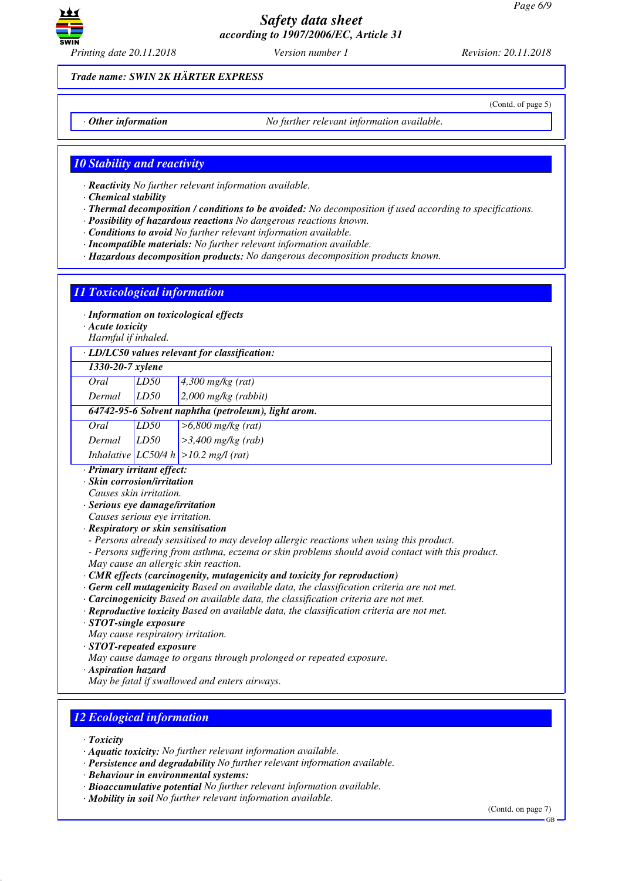

*Printing date 20.11.2018 Version number 1 Revision: 20.11.2018*

(Contd. of page 5)

*Trade name: SWIN 2K HÄRTER EXPRESS*

*· Other information No further relevant information available.*

*10 Stability and reactivity*

*· Reactivity No further relevant information available.*

*· Chemical stability*

- *· Thermal decomposition / conditions to be avoided: No decomposition if used according to specifications.*
- *· Possibility of hazardous reactions No dangerous reactions known.*
- *· Conditions to avoid No further relevant information available.*
- *· Incompatible materials: No further relevant information available.*
- *· Hazardous decomposition products: No dangerous decomposition products known.*

## *11 Toxicological information*

*· Information on toxicological effects*

*· Acute toxicity*

*Harmful if inhaled.*

*· LD/LC50 values relevant for classification:*

### *1330-20-7 xylene*

*Oral LD50 4,300 mg/kg (rat)*

*Dermal LD50 2,000 mg/kg (rabbit) 64742-95-6 Solvent naphtha (petroleum), light arom.*

|      |      | 0+7+2+33+0 Solvent парница (реп отеит), изн |
|------|------|---------------------------------------------|
| Oral | LD50 | $>6,800$ mg/kg (rat)                        |

*Dermal LD50 >3,400 mg/kg (rab) Inhalative LC50/4 h >10.2 mg/l (rat)*

*· Primary irritant effect:*

*· Skin corrosion/irritation*

*Causes skin irritation.*

- *· Serious eye damage/irritation*
- *Causes serious eye irritation.*
- *· Respiratory or skin sensitisation*
- *Persons already sensitised to may develop allergic reactions when using this product.*
- *Persons suffering from asthma, eczema or skin problems should avoid contact with this product. May cause an allergic skin reaction.*
- *· CMR effects (carcinogenity, mutagenicity and toxicity for reproduction)*
- *· Germ cell mutagenicity Based on available data, the classification criteria are not met.*
- *· Carcinogenicity Based on available data, the classification criteria are not met.*
- *· Reproductive toxicity Based on available data, the classification criteria are not met.*
- *· STOT-single exposure*

*May cause respiratory irritation.*

- *· STOT-repeated exposure*
- *May cause damage to organs through prolonged or repeated exposure.*
- *· Aspiration hazard*
- *May be fatal if swallowed and enters airways.*

# *12 Ecological information*

- *· Toxicity*
- *· Aquatic toxicity: No further relevant information available.*
- *· Persistence and degradability No further relevant information available.*
- *· Behaviour in environmental systems:*
- *· Bioaccumulative potential No further relevant information available.*
- *· Mobility in soil No further relevant information available.*

(Contd. on page 7)

GB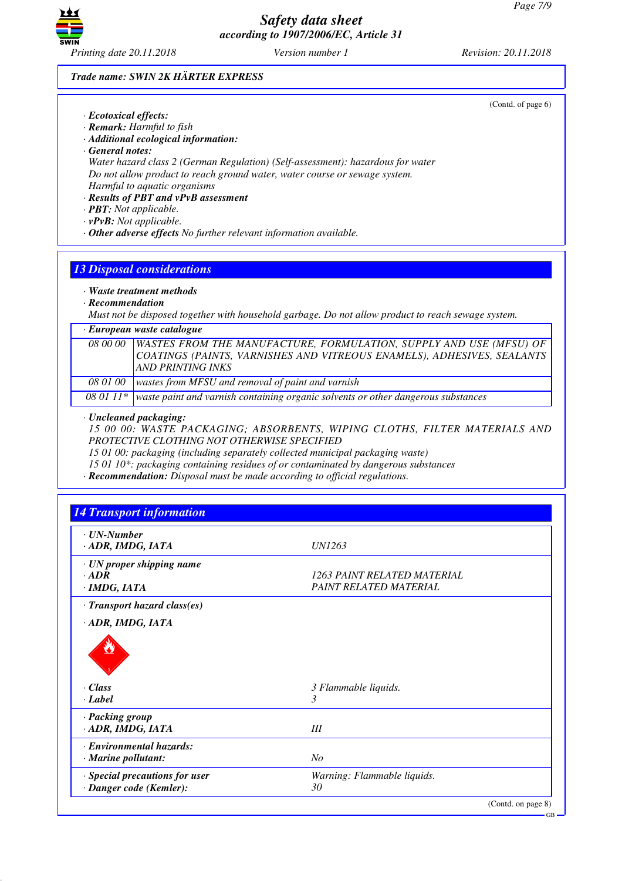

(Contd. of page 6)

### *Trade name: SWIN 2K HÄRTER EXPRESS*

- *· Ecotoxical effects:*
- *· Remark: Harmful to fish*
- *· Additional ecological information:*
- *· General notes:*

*Water hazard class 2 (German Regulation) (Self-assessment): hazardous for water Do not allow product to reach ground water, water course or sewage system. Harmful to aquatic organisms*

# *· Results of PBT and vPvB assessment*

- *· PBT: Not applicable.*
- *· vPvB: Not applicable.*
- *· Other adverse effects No further relevant information available.*

# *13 Disposal considerations*

### *· Waste treatment methods*

*· Recommendation*

*Must not be disposed together with household garbage. Do not allow product to reach sewage system.*

#### *· European waste catalogue*

|  | 08 00 00 WASTES FROM THE MANUFACTURE, FORMULATION, SUPPLY AND USE (MFSU) OF<br>COATINGS (PAINTS, VARNISHES AND VITREOUS ENAMELS), ADHESIVES, SEALANTS<br>AND PRINTING INKS |
|--|----------------------------------------------------------------------------------------------------------------------------------------------------------------------------|
|  | 08 01 00 wastes from MFSU and removal of paint and varnish                                                                                                                 |

*08 01 11\* waste paint and varnish containing organic solvents or other dangerous substances*

### *· Uncleaned packaging:*

*15 00 00: WASTE PACKAGING; ABSORBENTS, WIPING CLOTHS, FILTER MATERIALS AND PROTECTIVE CLOTHING NOT OTHERWISE SPECIFIED*

*15 01 00: packaging (including separately collected municipal packaging waste)*

*15 01 10\*: packaging containing residues of or contaminated by dangerous substances*

*· Recommendation: Disposal must be made according to official regulations.*

| <b>14 Transport information</b>                                      |                                                       |
|----------------------------------------------------------------------|-------------------------------------------------------|
| $\cdot$ <i>UN-Number</i><br>· ADR, IMDG, IATA                        | UN1263                                                |
| $\cdot$ UN proper shipping name<br>$\cdot$ ADR<br>$\cdot$ IMDG, IATA | 1263 PAINT RELATED MATERIAL<br>PAINT RELATED MATERIAL |
| $\cdot$ Transport hazard class(es)<br>· ADR, IMDG, IATA              |                                                       |
| $\cdot$ Class<br>$\cdot$ Label                                       | 3 Flammable liquids.<br>3                             |
| · Packing group<br>· ADR, IMDG, IATA                                 | III                                                   |
| · Environmental hazards:<br>$\cdot$ Marine pollutant:                | N <sub>O</sub>                                        |
| · Special precautions for user<br>· Danger code (Kemler):            | Warning: Flammable liquids.<br>30                     |

(Contd. on page 8)

GB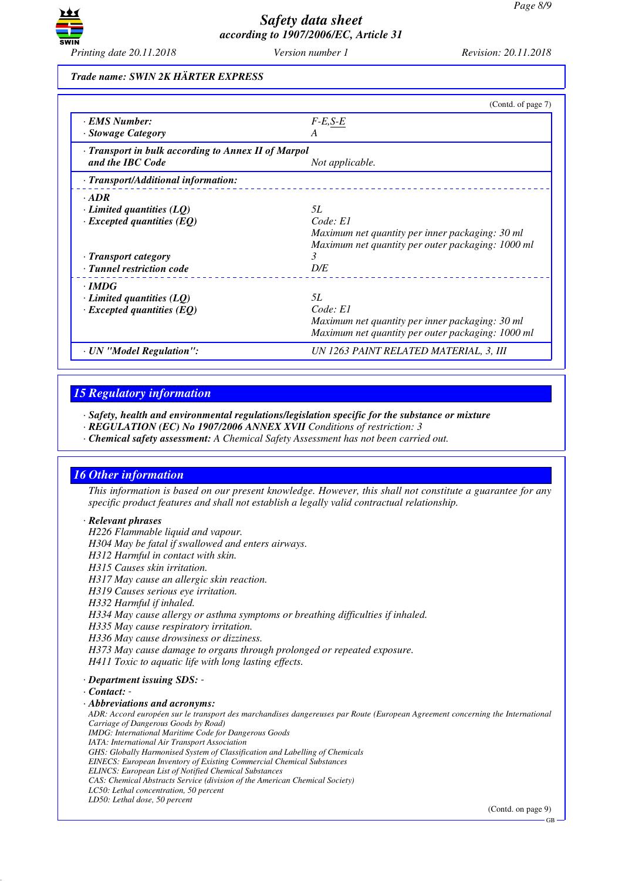

### *Trade name: SWIN 2K HÄRTER EXPRESS*

|                                                     | (Contd. of page 7)                                |
|-----------------------------------------------------|---------------------------------------------------|
| · EMS Number:                                       | $F-E,S-E$                                         |
| · Stowage Category                                  | A                                                 |
| · Transport in bulk according to Annex II of Marpol |                                                   |
| and the IBC Code                                    | Not applicable.                                   |
| · Transport/Additional information:                 |                                                   |
| $\cdot$ ADR                                         |                                                   |
| $\cdot$ Limited quantities (LQ)                     | 5L                                                |
| $\cdot$ Excepted quantities (EQ)                    | Code: El                                          |
|                                                     | Maximum net quantity per inner packaging: 30 ml   |
|                                                     | Maximum net quantity per outer packaging: 1000 ml |
| · Transport category                                | 3                                                 |
| · Tunnel restriction code                           | D/E                                               |
| $\cdot$ IMDG                                        |                                                   |
| $\cdot$ Limited quantities (LQ)                     | 5L                                                |
| $\cdot$ Excepted quantities (EQ)                    | Code: El                                          |
|                                                     | Maximum net quantity per inner packaging: 30 ml   |
|                                                     | Maximum net quantity per outer packaging: 1000 ml |
| · UN "Model Regulation":                            | UN 1263 PAINT RELATED MATERIAL, 3, III            |

## *15 Regulatory information*

*· Safety, health and environmental regulations/legislation specific for the substance or mixture*

- *· REGULATION (EC) No 1907/2006 ANNEX XVII Conditions of restriction: 3*
- *· Chemical safety assessment: A Chemical Safety Assessment has not been carried out.*

## *16 Other information*

*This information is based on our present knowledge. However, this shall not constitute a guarantee for any specific product features and shall not establish a legally valid contractual relationship.*

#### *· Relevant phrases*

*H226 Flammable liquid and vapour. H304 May be fatal if swallowed and enters airways.*

*H312 Harmful in contact with skin.*

*H315 Causes skin irritation.*

*H317 May cause an allergic skin reaction.*

*H319 Causes serious eye irritation.*

*H332 Harmful if inhaled.*

*H334 May cause allergy or asthma symptoms or breathing difficulties if inhaled.*

*H335 May cause respiratory irritation.*

*H336 May cause drowsiness or dizziness.*

*H373 May cause damage to organs through prolonged or repeated exposure.*

*H411 Toxic to aquatic life with long lasting effects.*

*· Department issuing SDS: -* 

*· Contact: -* 

*· Abbreviations and acronyms:*

*ADR: Accord européen sur le transport des marchandises dangereuses par Route (European Agreement concerning the International Carriage of Dangerous Goods by Road) IMDG: International Maritime Code for Dangerous Goods*

*IATA: International Air Transport Association*

- *GHS: Globally Harmonised System of Classification and Labelling of Chemicals*
- *EINECS: European Inventory of Existing Commercial Chemical Substances*
- *ELINCS: European List of Notified Chemical Substances*
- *CAS: Chemical Abstracts Service (division of the American Chemical Society)*
- *LC50: Lethal concentration, 50 percent*

*LD50: Lethal dose, 50 percent*

(Contd. on page 9)

GB